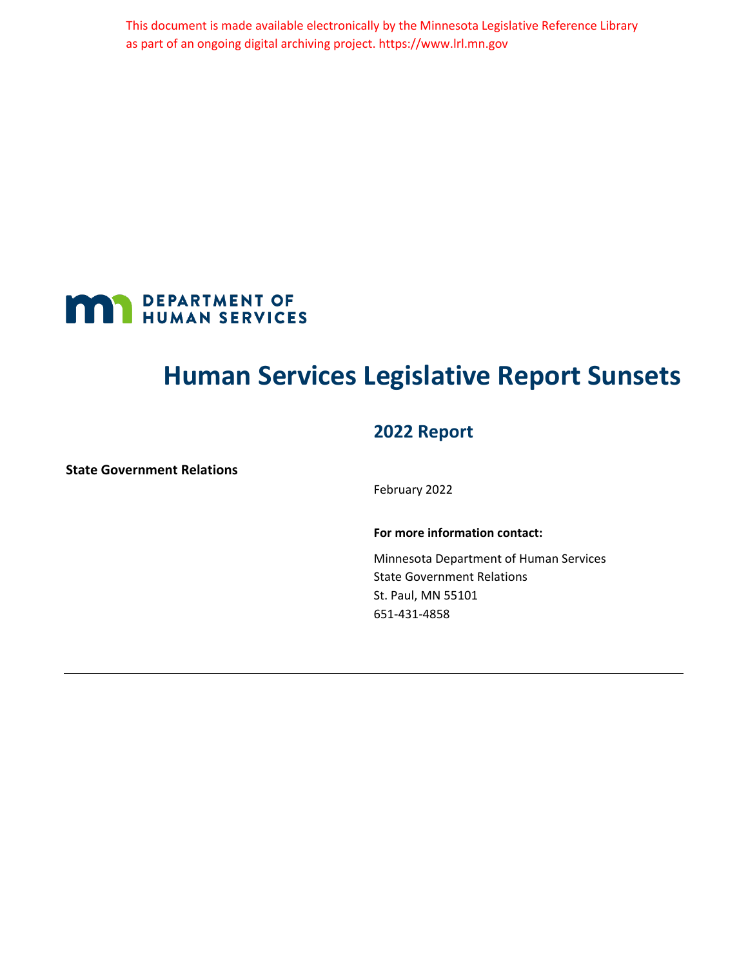This document is made available electronically by the Minnesota Legislative Reference Library as part of an ongoing digital archiving project. https://www.lrl.mn.gov

<span id="page-0-0"></span>

# **Human Services Legislative Report Sunsets**

### **2022 Report**

**State Government Relations**

February 2022

#### **For more information contact:**

Minnesota Department of Human Services State Government Relations St. Paul, MN 55101 651-431-4858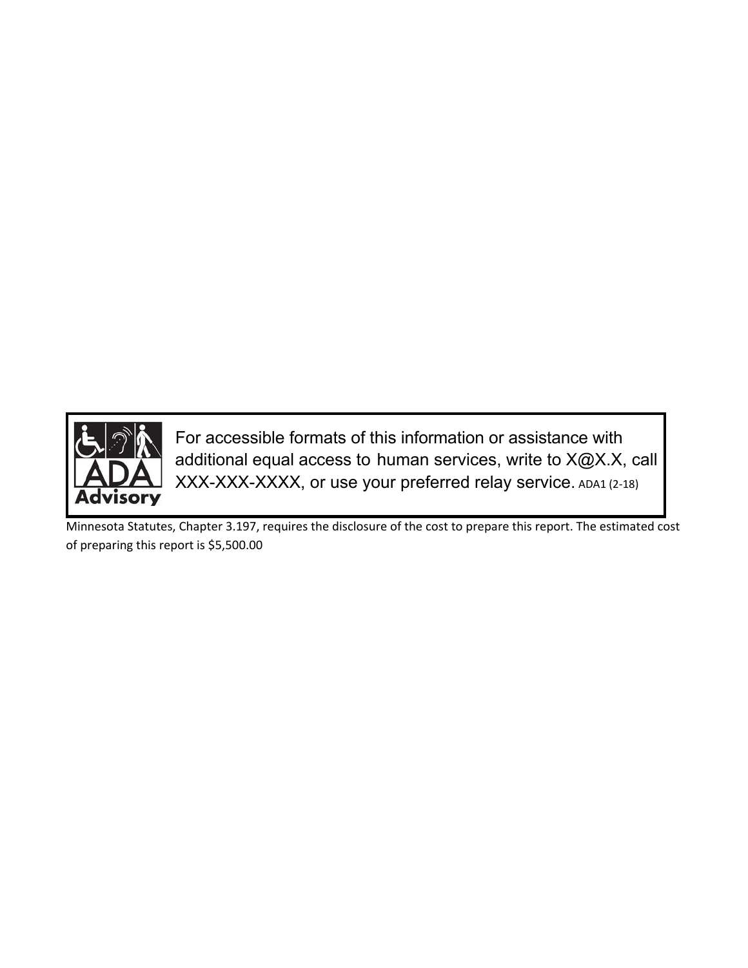

For accessible formats of this information or assistance with additional equal access to human services, write to X@X.X, call XXX-XXX-XXXX, or use your preferred relay service. ADA1 (2-18)

Minnesota Statutes, Chapter 3.197, requires the disclosure of the cost to prepare this report. The estimated cost of preparing this report is \$5,500.00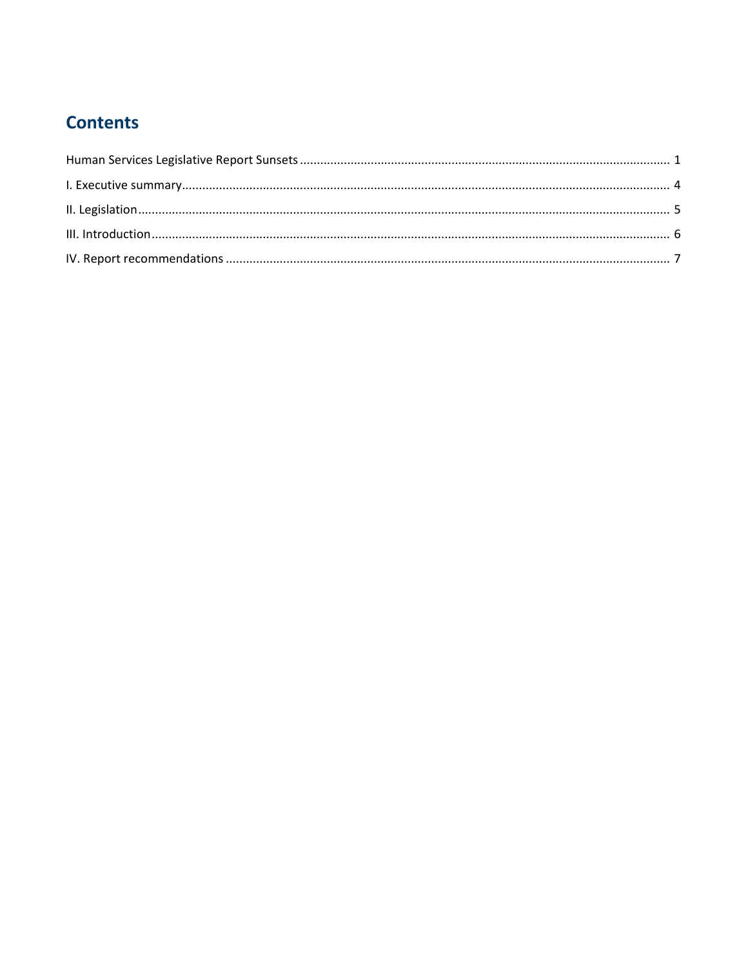# **Contents**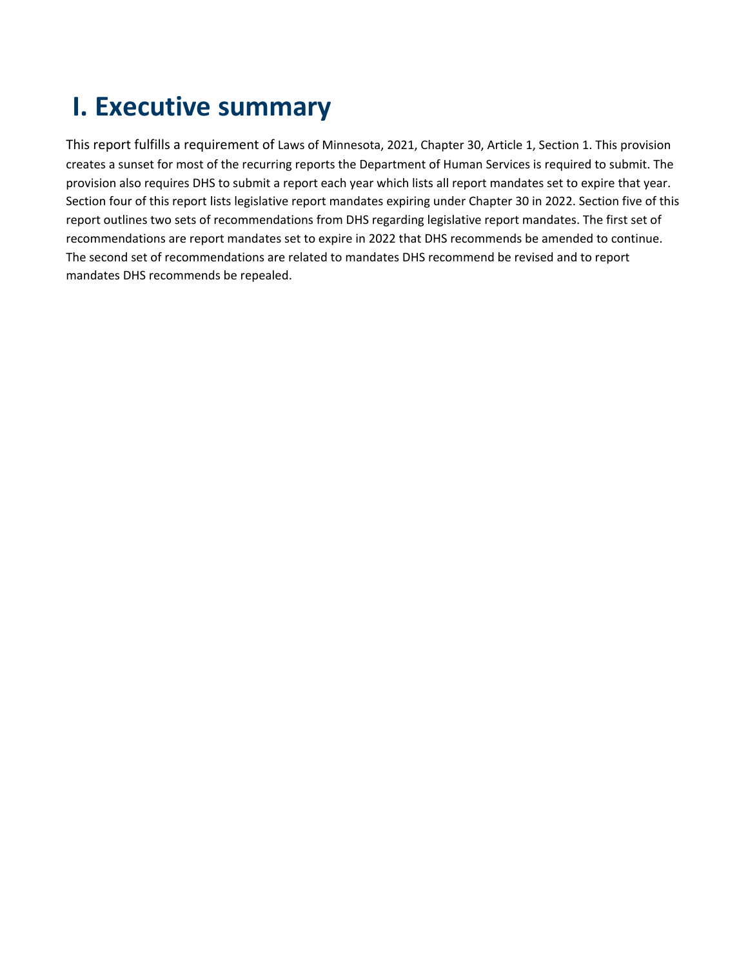# <span id="page-3-0"></span>**I. Executive summary**

This report fulfills a requirement of Laws of Minnesota, 2021, Chapter 30, Article 1, Section 1. This provision creates a sunset for most of the recurring reports the Department of Human Services is required to submit. The provision also requires DHS to submit a report each year which lists all report mandates set to expire that year. Section four of this report lists legislative report mandates expiring under Chapter 30 in 2022. Section five of this report outlines two sets of recommendations from DHS regarding legislative report mandates. The first set of recommendations are report mandates set to expire in 2022 that DHS recommends be amended to continue. The second set of recommendations are related to mandates DHS recommend be revised and to report mandates DHS recommends be repealed.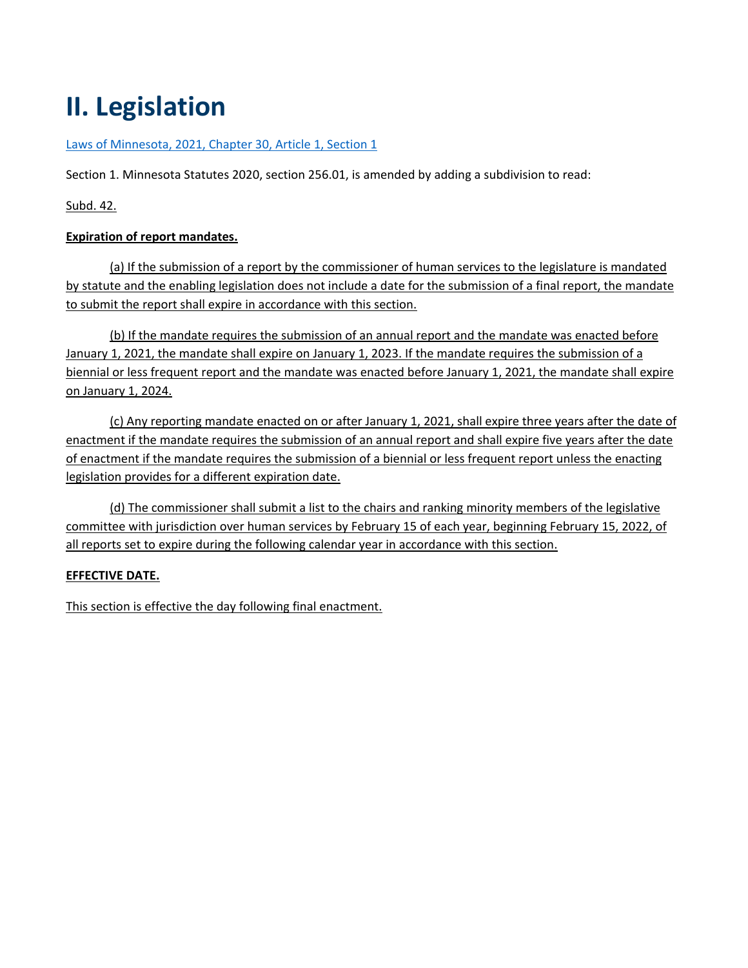# <span id="page-4-0"></span>**II. Legislation**

#### [Laws of Minnesota, 2021, Chapter 30, Article 1, Section 1](https://www.revisor.mn.gov/laws/2021/0/Session+Law/Chapter/30/)

Section 1. Minnesota Statutes 2020, section 256.01, is amended by adding a subdivision to read:

Subd. 42.

#### **Expiration of report mandates.**

(a) If the submission of a report by the commissioner of human services to the legislature is mandated by statute and the enabling legislation does not include a date for the submission of a final report, the mandate to submit the report shall expire in accordance with this section.

(b) If the mandate requires the submission of an annual report and the mandate was enacted before January 1, 2021, the mandate shall expire on January 1, 2023. If the mandate requires the submission of a biennial or less frequent report and the mandate was enacted before January 1, 2021, the mandate shall expire on January 1, 2024.

(c) Any reporting mandate enacted on or after January 1, 2021, shall expire three years after the date of enactment if the mandate requires the submission of an annual report and shall expire five years after the date of enactment if the mandate requires the submission of a biennial or less frequent report unless the enacting legislation provides for a different expiration date.

(d) The commissioner shall submit a list to the chairs and ranking minority members of the legislative committee with jurisdiction over human services by February 15 of each year, beginning February 15, 2022, of all reports set to expire during the following calendar year in accordance with this section.

#### **EFFECTIVE DATE.**

This section is effective the day following final enactment.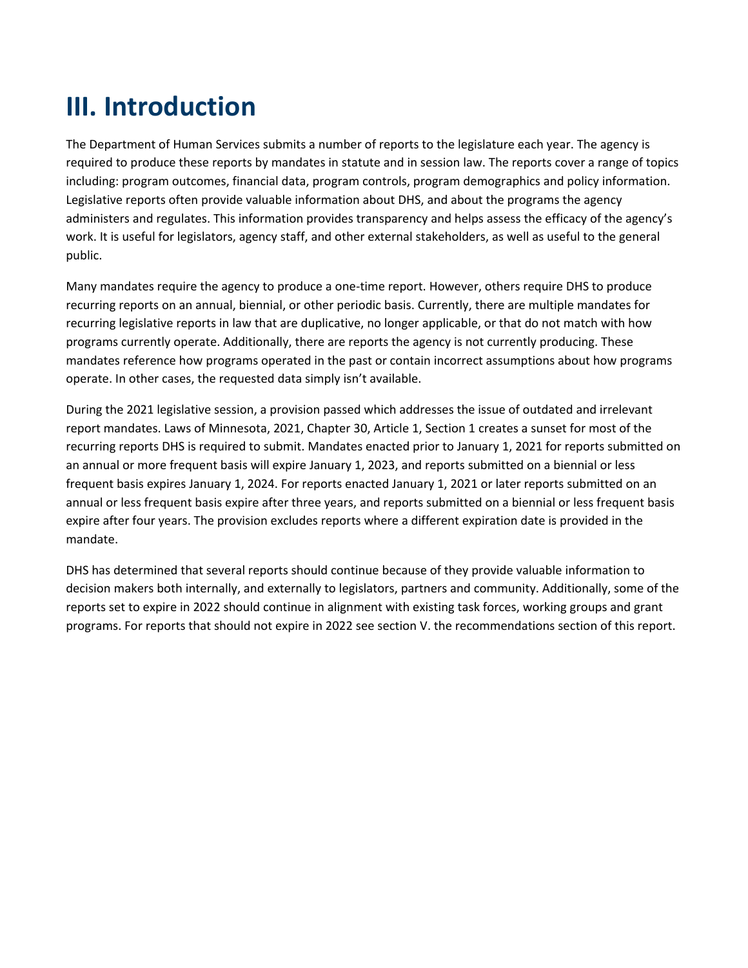# <span id="page-5-0"></span>**III. Introduction**

The Department of Human Services submits a number of reports to the legislature each year. The agency is required to produce these reports by mandates in statute and in session law. The reports cover a range of topics including: program outcomes, financial data, program controls, program demographics and policy information. Legislative reports often provide valuable information about DHS, and about the programs the agency administers and regulates. This information provides transparency and helps assess the efficacy of the agency's work. It is useful for legislators, agency staff, and other external stakeholders, as well as useful to the general public.

Many mandates require the agency to produce a one-time report. However, others require DHS to produce recurring reports on an annual, biennial, or other periodic basis. Currently, there are multiple mandates for recurring legislative reports in law that are duplicative, no longer applicable, or that do not match with how programs currently operate. Additionally, there are reports the agency is not currently producing. These mandates reference how programs operated in the past or contain incorrect assumptions about how programs operate. In other cases, the requested data simply isn't available.

During the 2021 legislative session, a provision passed which addresses the issue of outdated and irrelevant report mandates. Laws of Minnesota, 2021, Chapter 30, Article 1, Section 1 creates a sunset for most of the recurring reports DHS is required to submit. Mandates enacted prior to January 1, 2021 for reports submitted on an annual or more frequent basis will expire January 1, 2023, and reports submitted on a biennial or less frequent basis expires January 1, 2024. For reports enacted January 1, 2021 or later reports submitted on an annual or less frequent basis expire after three years, and reports submitted on a biennial or less frequent basis expire after four years. The provision excludes reports where a different expiration date is provided in the mandate.

DHS has determined that several reports should continue because of they provide valuable information to decision makers both internally, and externally to legislators, partners and community. Additionally, some of the reports set to expire in 2022 should continue in alignment with existing task forces, working groups and grant programs. For reports that should not expire in 2022 see section V. the recommendations section of this report.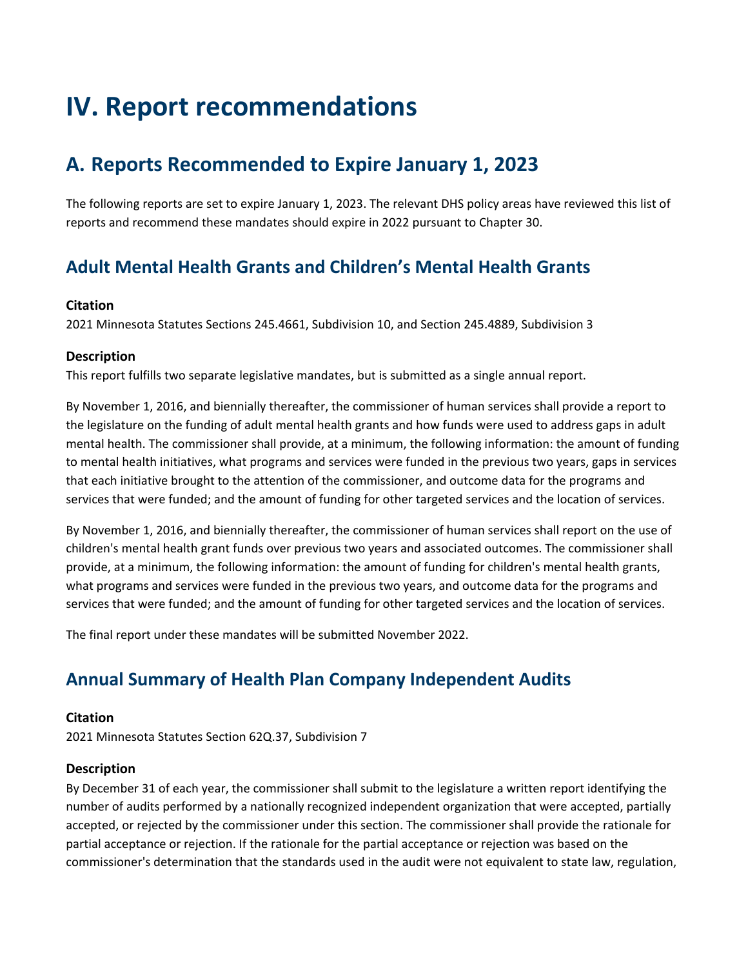# <span id="page-6-0"></span>**IV. Report recommendations**

# **A. Reports Recommended to Expire January 1, 2023**

The following reports are set to expire January 1, 2023. The relevant DHS policy areas have reviewed this list of reports and recommend these mandates should expire in 2022 pursuant to Chapter 30.

# **Adult Mental Health Grants and Children's Mental Health Grants**

#### **Citation**

2021 Minnesota Statutes Sections 245.4661, Subdivision 10, and Section 245.4889, Subdivision 3

#### **Description**

This report fulfills two separate legislative mandates, but is submitted as a single annual report.

By November 1, 2016, and biennially thereafter, the commissioner of human services shall provide a report to the legislature on the funding of adult mental health grants and how funds were used to address gaps in adult mental health. The commissioner shall provide, at a minimum, the following information: the amount of funding to mental health initiatives, what programs and services were funded in the previous two years, gaps in services that each initiative brought to the attention of the commissioner, and outcome data for the programs and services that were funded; and the amount of funding for other targeted services and the location of services.

By November 1, 2016, and biennially thereafter, the commissioner of human services shall report on the use of children's mental health grant funds over previous two years and associated outcomes. The commissioner shall provide, at a minimum, the following information: the amount of funding for children's mental health grants, what programs and services were funded in the previous two years, and outcome data for the programs and services that were funded; and the amount of funding for other targeted services and the location of services.

The final report under these mandates will be submitted November 2022.

## **Annual Summary of Health Plan Company Independent Audits**

#### **Citation**

2021 Minnesota Statutes Section 62Q.37, Subdivision 7

#### **Description**

By December 31 of each year, the commissioner shall submit to the legislature a written report identifying the number of audits performed by a nationally recognized independent organization that were accepted, partially accepted, or rejected by the commissioner under this section. The commissioner shall provide the rationale for partial acceptance or rejection. If the rationale for the partial acceptance or rejection was based on the commissioner's determination that the standards used in the audit were not equivalent to state law, regulation,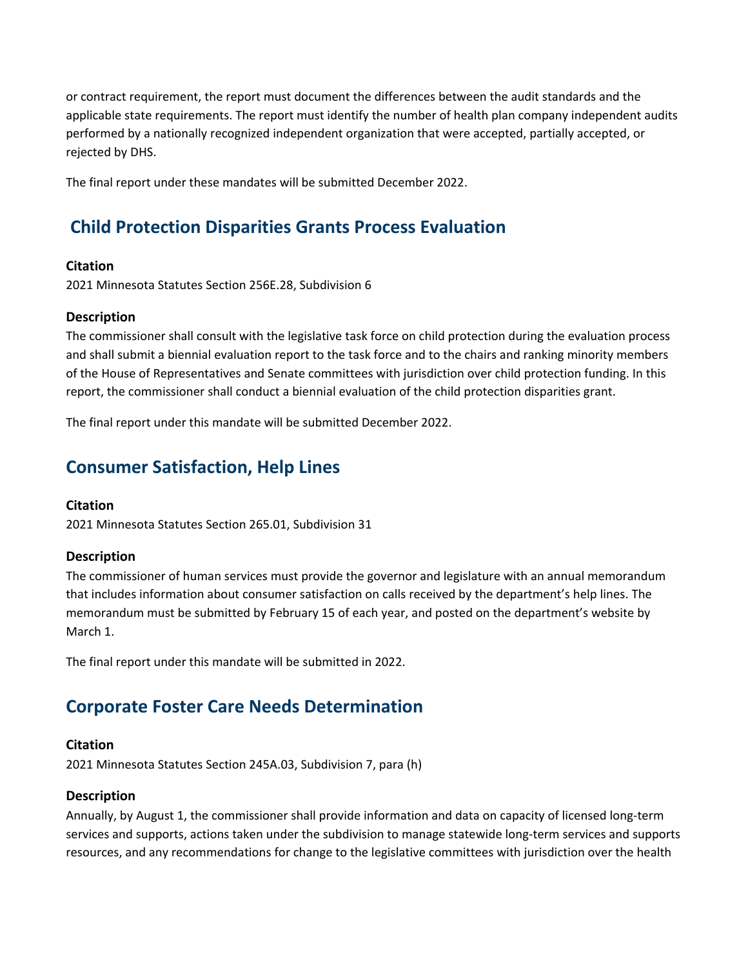or contract requirement, the report must document the differences between the audit standards and the applicable state requirements. The report must identify the number of health plan company independent audits performed by a nationally recognized independent organization that were accepted, partially accepted, or rejected by DHS.

The final report under these mandates will be submitted December 2022.

### **Child Protection Disparities Grants Process Evaluation**

#### **Citation**

2021 Minnesota Statutes Section 256E.28, Subdivision 6

#### **Description**

The commissioner shall consult with the legislative task force on child protection during the evaluation process and shall submit a biennial evaluation report to the task force and to the chairs and ranking minority members of the House of Representatives and Senate committees with jurisdiction over child protection funding. In this report, the commissioner shall conduct a biennial evaluation of the child protection disparities grant.

The final report under this mandate will be submitted December 2022.

### **Consumer Satisfaction, Help Lines**

#### **Citation**

2021 Minnesota Statutes Section 265.01, Subdivision 31

#### **Description**

The commissioner of human services must provide the governor and legislature with an annual memorandum that includes information about consumer satisfaction on calls received by the department's help lines. The memorandum must be submitted by February 15 of each year, and posted on the department's website by March 1.

The final report under this mandate will be submitted in 2022.

### **Corporate Foster Care Needs Determination**

#### **Citation**

2021 Minnesota Statutes Section 245A.03, Subdivision 7, para (h)

#### **Description**

Annually, by August 1, the commissioner shall provide information and data on capacity of licensed long-term services and supports, actions taken under the subdivision to manage statewide long-term services and supports resources, and any recommendations for change to the legislative committees with jurisdiction over the health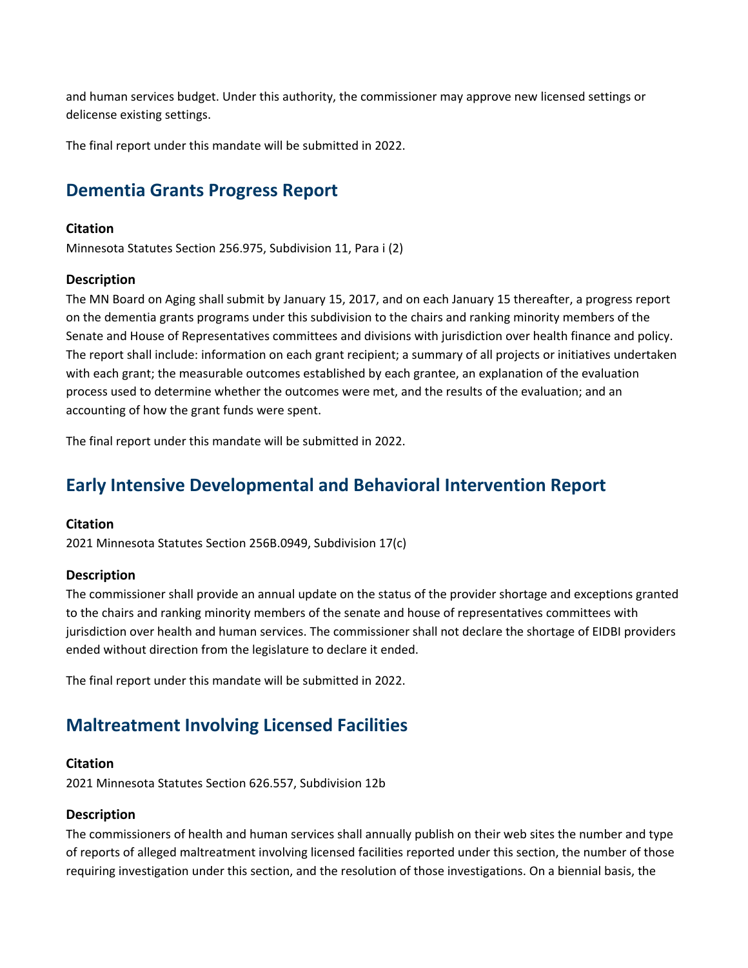and human services budget. Under this authority, the commissioner may approve new licensed settings or delicense existing settings.

The final report under this mandate will be submitted in 2022.

### **Dementia Grants Progress Report**

#### **Citation**

Minnesota Statutes Section 256.975, Subdivision 11, Para i (2)

#### **Description**

The MN Board on Aging shall submit by January 15, 2017, and on each January 15 thereafter, a progress report on the dementia grants programs under this subdivision to the chairs and ranking minority members of the Senate and House of Representatives committees and divisions with jurisdiction over health finance and policy. The report shall include: information on each grant recipient; a summary of all projects or initiatives undertaken with each grant; the measurable outcomes established by each grantee, an explanation of the evaluation process used to determine whether the outcomes were met, and the results of the evaluation; and an accounting of how the grant funds were spent.

The final report under this mandate will be submitted in 2022.

### **Early Intensive Developmental and Behavioral Intervention Report**

#### **Citation**

2021 Minnesota Statutes Section 256B.0949, Subdivision 17(c)

#### **Description**

The commissioner shall provide an annual update on the status of the provider shortage and exceptions granted to the chairs and ranking minority members of the senate and house of representatives committees with jurisdiction over health and human services. The commissioner shall not declare the shortage of EIDBI providers ended without direction from the legislature to declare it ended.

The final report under this mandate will be submitted in 2022.

### **Maltreatment Involving Licensed Facilities**

#### **Citation**

2021 Minnesota Statutes Section 626.557, Subdivision 12b

#### **Description**

The commissioners of health and human services shall annually publish on their web sites the number and type of reports of alleged maltreatment involving licensed facilities reported under this section, the number of those requiring investigation under this section, and the resolution of those investigations. On a biennial basis, the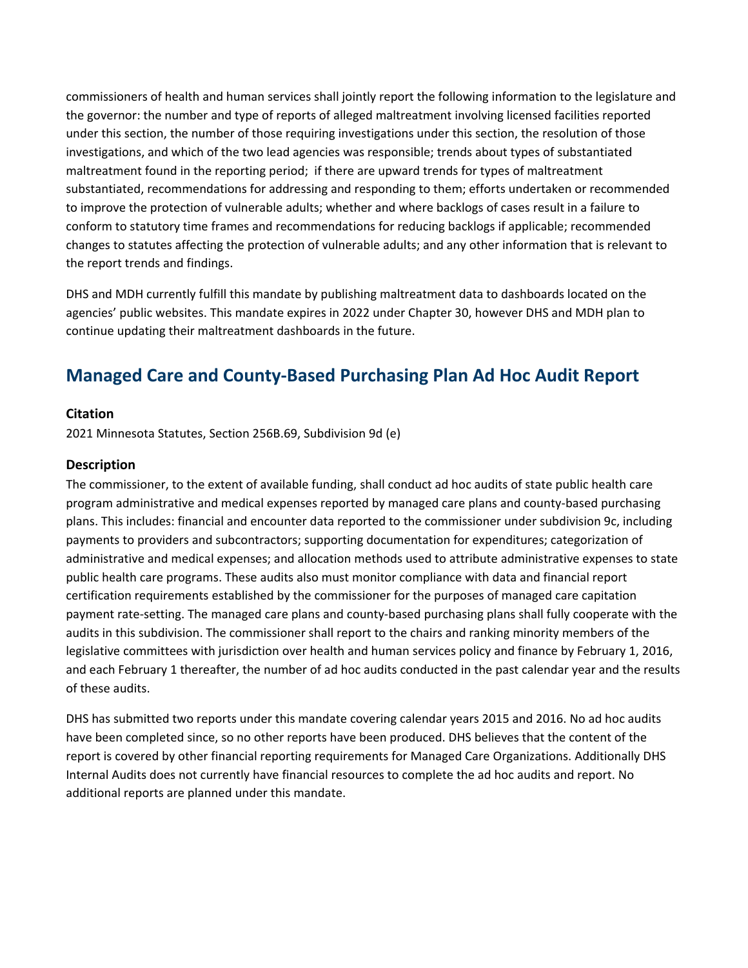commissioners of health and human services shall jointly report the following information to the legislature and the governor: the number and type of reports of alleged maltreatment involving licensed facilities reported under this section, the number of those requiring investigations under this section, the resolution of those investigations, and which of the two lead agencies was responsible; trends about types of substantiated maltreatment found in the reporting period; if there are upward trends for types of maltreatment substantiated, recommendations for addressing and responding to them; efforts undertaken or recommended to improve the protection of vulnerable adults; whether and where backlogs of cases result in a failure to conform to statutory time frames and recommendations for reducing backlogs if applicable; recommended changes to statutes affecting the protection of vulnerable adults; and any other information that is relevant to the report trends and findings.

DHS and MDH currently fulfill this mandate by publishing maltreatment data to dashboards located on the agencies' public websites. This mandate expires in 2022 under Chapter 30, however DHS and MDH plan to continue updating their maltreatment dashboards in the future.

## **Managed Care and County-Based Purchasing Plan Ad Hoc Audit Report**

#### **Citation**

2021 Minnesota Statutes, Section 256B.69, Subdivision 9d (e)

#### **Description**

The commissioner, to the extent of available funding, shall conduct ad hoc audits of state public health care program administrative and medical expenses reported by managed care plans and county-based purchasing plans. This includes: financial and encounter data reported to the commissioner under subdivision 9c, including payments to providers and subcontractors; supporting documentation for expenditures; categorization of administrative and medical expenses; and allocation methods used to attribute administrative expenses to state public health care programs. These audits also must monitor compliance with data and financial report certification requirements established by the commissioner for the purposes of managed care capitation payment rate-setting. The managed care plans and county-based purchasing plans shall fully cooperate with the audits in this subdivision. The commissioner shall report to the chairs and ranking minority members of the legislative committees with jurisdiction over health and human services policy and finance by February 1, 2016, and each February 1 thereafter, the number of ad hoc audits conducted in the past calendar year and the results of these audits.

DHS has submitted two reports under this mandate covering calendar years 2015 and 2016. No ad hoc audits have been completed since, so no other reports have been produced. DHS believes that the content of the report is covered by other financial reporting requirements for Managed Care Organizations. Additionally DHS Internal Audits does not currently have financial resources to complete the ad hoc audits and report. No additional reports are planned under this mandate.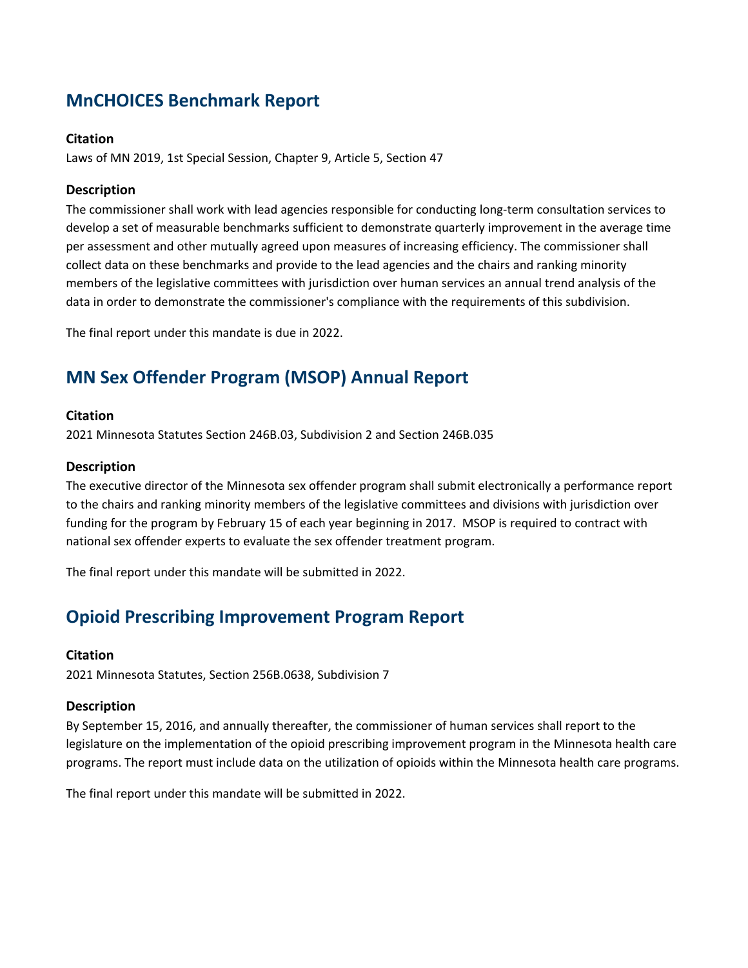## **MnCHOICES Benchmark Report**

#### **Citation**

Laws of MN 2019, 1st Special Session, Chapter 9, Article 5, Section 47

#### **Description**

The commissioner shall work with lead agencies responsible for conducting long-term consultation services to develop a set of measurable benchmarks sufficient to demonstrate quarterly improvement in the average time per assessment and other mutually agreed upon measures of increasing efficiency. The commissioner shall collect data on these benchmarks and provide to the lead agencies and the chairs and ranking minority members of the legislative committees with jurisdiction over human services an annual trend analysis of the data in order to demonstrate the commissioner's compliance with the requirements of this subdivision.

The final report under this mandate is due in 2022.

# **MN Sex Offender Program (MSOP) Annual Report**

#### **Citation**

2021 Minnesota Statutes Section 246B.03, Subdivision 2 and Section 246B.035

#### **Description**

The executive director of the Minnesota sex offender program shall submit electronically a performance report to the chairs and ranking minority members of the legislative committees and divisions with jurisdiction over funding for the program by February 15 of each year beginning in 2017. MSOP is required to contract with national sex offender experts to evaluate the sex offender treatment program.

The final report under this mandate will be submitted in 2022.

### **Opioid Prescribing Improvement Program Report**

#### **Citation**

2021 Minnesota Statutes, Section 256B.0638, Subdivision 7

#### **Description**

By September 15, 2016, and annually thereafter, the commissioner of human services shall report to the legislature on the implementation of the opioid prescribing improvement program in the Minnesota health care programs. The report must include data on the utilization of opioids within the Minnesota health care programs.

The final report under this mandate will be submitted in 2022.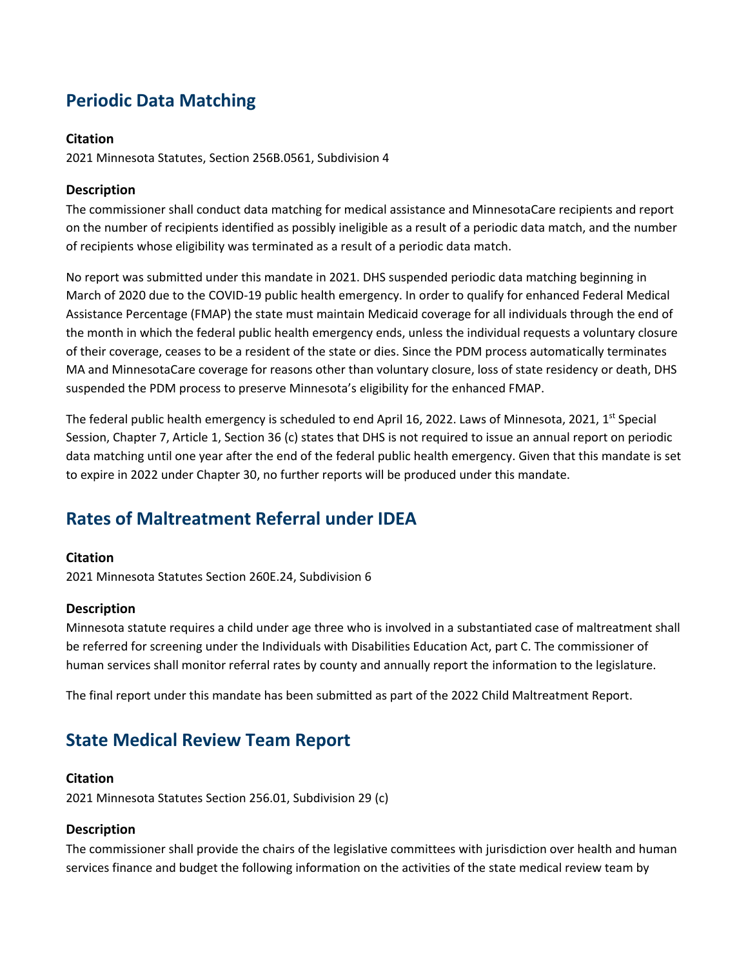# **Periodic Data Matching**

#### **Citation**

2021 Minnesota Statutes, Section 256B.0561, Subdivision 4

#### **Description**

The commissioner shall conduct data matching for medical assistance and MinnesotaCare recipients and report on the number of recipients identified as possibly ineligible as a result of a periodic data match, and the number of recipients whose eligibility was terminated as a result of a periodic data match.

No report was submitted under this mandate in 2021. DHS suspended periodic data matching beginning in March of 2020 due to the COVID-19 public health emergency. In order to qualify for enhanced Federal Medical Assistance Percentage (FMAP) the state must maintain Medicaid coverage for all individuals through the end of the month in which the federal public health emergency ends, unless the individual requests a voluntary closure of their coverage, ceases to be a resident of the state or dies. Since the PDM process automatically terminates MA and MinnesotaCare coverage for reasons other than voluntary closure, loss of state residency or death, DHS suspended the PDM process to preserve Minnesota's eligibility for the enhanced FMAP.

The federal public health emergency is scheduled to end April 16, 2022. Laws of Minnesota, 2021, 1<sup>st</sup> Special Session, Chapter 7, Article 1, Section 36 (c) states that DHS is not required to issue an annual report on periodic data matching until one year after the end of the federal public health emergency. Given that this mandate is set to expire in 2022 under Chapter 30, no further reports will be produced under this mandate.

### **Rates of Maltreatment Referral under IDEA**

#### **Citation**

2021 Minnesota Statutes Section 260E.24, Subdivision 6

#### **Description**

Minnesota statute requires a child under age three who is involved in a substantiated case of maltreatment shall be referred for screening under the Individuals with Disabilities Education Act, part C. The commissioner of human services shall monitor referral rates by county and annually report the information to the legislature.

The final report under this mandate has been submitted as part of the 2022 Child Maltreatment Report.

### **State Medical Review Team Report**

#### **Citation**

2021 Minnesota Statutes Section 256.01, Subdivision 29 (c)

#### **Description**

The commissioner shall provide the chairs of the legislative committees with jurisdiction over health and human services finance and budget the following information on the activities of the state medical review team by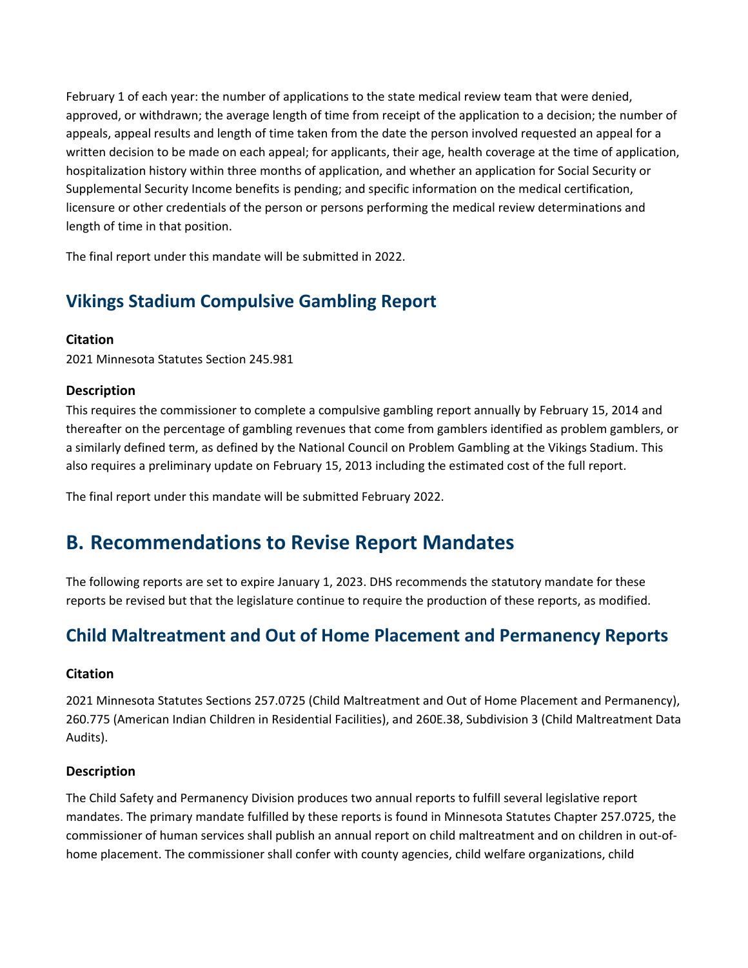February 1 of each year: the number of applications to the state medical review team that were denied, approved, or withdrawn; the average length of time from receipt of the application to a decision; the number of appeals, appeal results and length of time taken from the date the person involved requested an appeal for a written decision to be made on each appeal; for applicants, their age, health coverage at the time of application, hospitalization history within three months of application, and whether an application for Social Security or Supplemental Security Income benefits is pending; and specific information on the medical certification, licensure or other credentials of the person or persons performing the medical review determinations and length of time in that position.

The final report under this mandate will be submitted in 2022.

# **Vikings Stadium Compulsive Gambling Report**

#### **Citation**

2021 Minnesota Statutes Section 245.981

#### **Description**

This requires the commissioner to complete a compulsive gambling report annually by February 15, 2014 and thereafter on the percentage of gambling revenues that come from gamblers identified as problem gamblers, or a similarly defined term, as defined by the National Council on Problem Gambling at the Vikings Stadium. This also requires a preliminary update on February 15, 2013 including the estimated cost of the full report.

The final report under this mandate will be submitted February 2022.

## **B. Recommendations to Revise Report Mandates**

The following reports are set to expire January 1, 2023. DHS recommends the statutory mandate for these reports be revised but that the legislature continue to require the production of these reports, as modified.

## **Child Maltreatment and Out of Home Placement and Permanency Reports**

#### **Citation**

2021 Minnesota Statutes Sections 257.0725 (Child Maltreatment and Out of Home Placement and Permanency), 260.775 (American Indian Children in Residential Facilities), and 260E.38, Subdivision 3 (Child Maltreatment Data Audits).

#### **Description**

The Child Safety and Permanency Division produces two annual reports to fulfill several legislative report mandates. The primary mandate fulfilled by these reports is found in Minnesota Statutes Chapter 257.0725, the commissioner of human services shall publish an annual report on child maltreatment and on children in out-ofhome placement. The commissioner shall confer with county agencies, child welfare organizations, child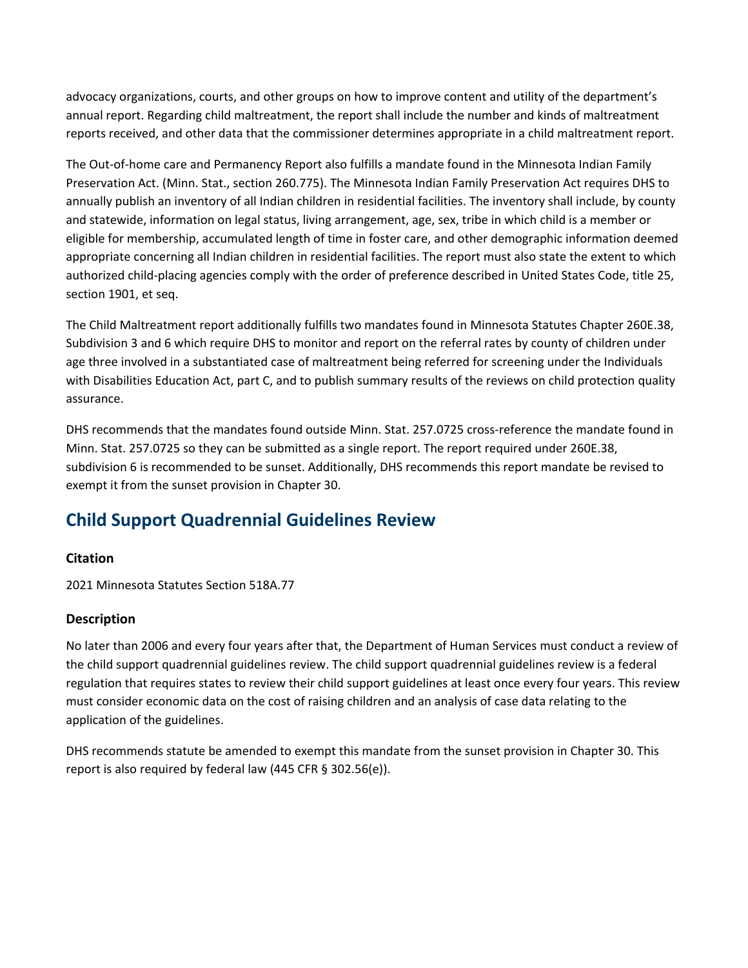advocacy organizations, courts, and other groups on how to improve content and utility of the department's annual report. Regarding child maltreatment, the report shall include the number and kinds of maltreatment reports received, and other data that the commissioner determines appropriate in a child maltreatment report.

The Out-of-home care and Permanency Report also fulfills a mandate found in the Minnesota Indian Family Preservation Act. (Minn. Stat., section 260.775). The Minnesota Indian Family Preservation Act requires DHS to annually publish an inventory of all Indian children in residential facilities. The inventory shall include, by county and statewide, information on legal status, living arrangement, age, sex, tribe in which child is a member or eligible for membership, accumulated length of time in foster care, and other demographic information deemed appropriate concerning all Indian children in residential facilities. The report must also state the extent to which authorized child-placing agencies comply with the order of preference described in United States Code, title 25, section 1901, et seq.

The Child Maltreatment report additionally fulfills two mandates found in Minnesota Statutes Chapter 260E.38, Subdivision 3 and 6 which require DHS to monitor and report on the referral rates by county of children under age three involved in a substantiated case of maltreatment being referred for screening under the Individuals with Disabilities Education Act, part C, and to publish summary results of the reviews on child protection quality assurance.

DHS recommends that the mandates found outside Minn. Stat. 257.0725 cross-reference the mandate found in Minn. Stat. 257.0725 so they can be submitted as a single report. The report required under 260E.38, subdivision 6 is recommended to be sunset. Additionally, DHS recommends this report mandate be revised to exempt it from the sunset provision in Chapter 30.

# **Child Support Quadrennial Guidelines Review**

#### **Citation**

2021 Minnesota Statutes Section 518A.77

#### **Description**

No later than 2006 and every four years after that, the Department of Human Services must conduct a review of the child support quadrennial guidelines review. The child support quadrennial guidelines review is a federal regulation that requires states to review their child support guidelines at least once every four years. This review must consider economic data on the cost of raising children and an analysis of case data relating to the application of the guidelines.

DHS recommends statute be amended to exempt this mandate from the sunset provision in Chapter 30. This report is also required by federal law (445 CFR § 302.56(e)).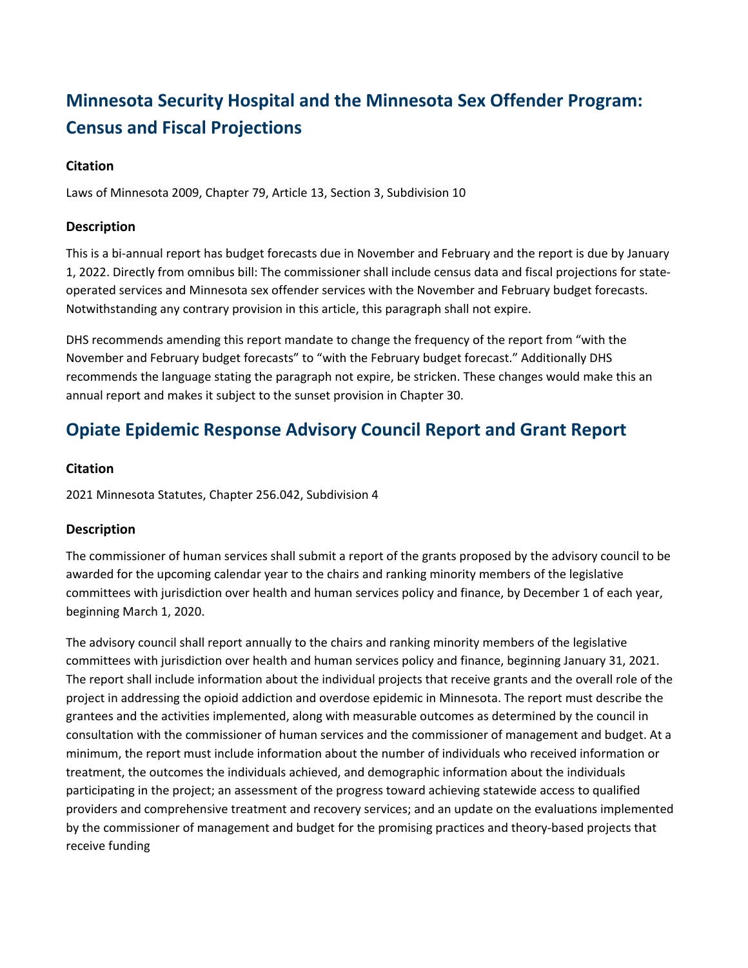# **Minnesota Security Hospital and the Minnesota Sex Offender Program: Census and Fiscal Projections**

#### **Citation**

Laws of Minnesota 2009, Chapter 79, Article 13, Section 3, Subdivision 10

#### **Description**

This is a bi-annual report has budget forecasts due in November and February and the report is due by January 1, 2022. Directly from omnibus bill: The commissioner shall include census data and fiscal projections for stateoperated services and Minnesota sex offender services with the November and February budget forecasts. Notwithstanding any contrary provision in this article, this paragraph shall not expire.

DHS recommends amending this report mandate to change the frequency of the report from "with the November and February budget forecasts" to "with the February budget forecast." Additionally DHS recommends the language stating the paragraph not expire, be stricken. These changes would make this an annual report and makes it subject to the sunset provision in Chapter 30.

### **Opiate Epidemic Response Advisory Council Report and Grant Report**

#### **Citation**

2021 Minnesota Statutes, Chapter 256.042, Subdivision 4

#### **Description**

The commissioner of human services shall submit a report of the grants proposed by the advisory council to be awarded for the upcoming calendar year to the chairs and ranking minority members of the legislative committees with jurisdiction over health and human services policy and finance, by December 1 of each year, beginning March 1, 2020.

The advisory council shall report annually to the chairs and ranking minority members of the legislative committees with jurisdiction over health and human services policy and finance, beginning January 31, 2021. The report shall include information about the individual projects that receive grants and the overall role of the project in addressing the opioid addiction and overdose epidemic in Minnesota. The report must describe the grantees and the activities implemented, along with measurable outcomes as determined by the council in consultation with the commissioner of human services and the commissioner of management and budget. At a minimum, the report must include information about the number of individuals who received information or treatment, the outcomes the individuals achieved, and demographic information about the individuals participating in the project; an assessment of the progress toward achieving statewide access to qualified providers and comprehensive treatment and recovery services; and an update on the evaluations implemented by the commissioner of management and budget for the promising practices and theory-based projects that receive funding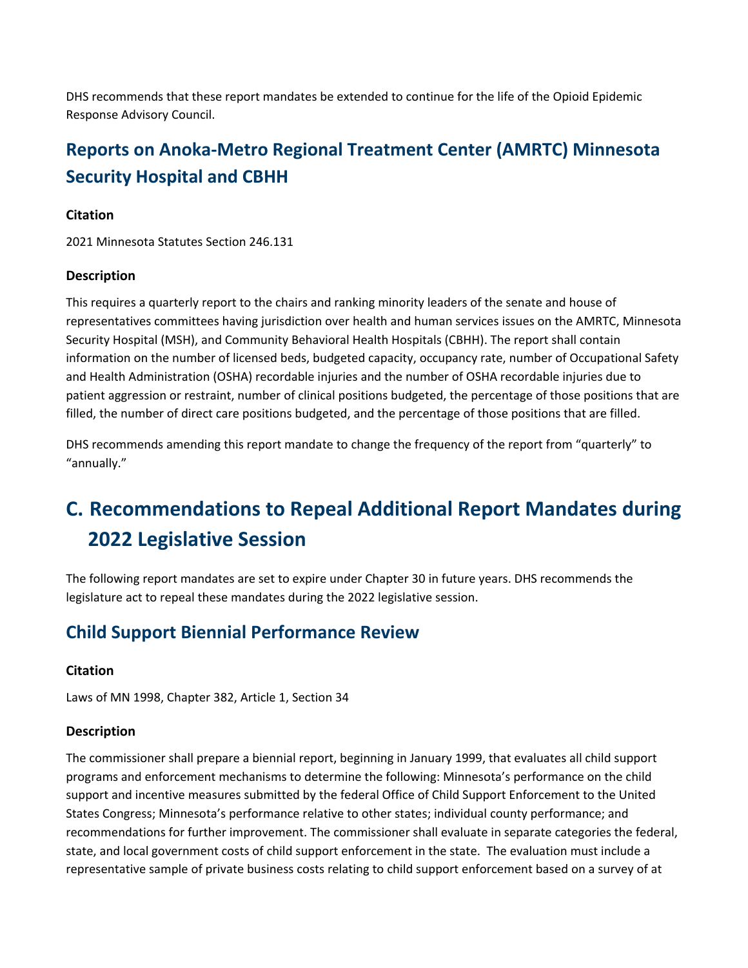DHS recommends that these report mandates be extended to continue for the life of the Opioid Epidemic Response Advisory Council.

# **Reports on Anoka-Metro Regional Treatment Center (AMRTC) Minnesota Security Hospital and CBHH**

#### **Citation**

2021 Minnesota Statutes Section 246.131

#### **Description**

This requires a quarterly report to the chairs and ranking minority leaders of the senate and house of representatives committees having jurisdiction over health and human services issues on the AMRTC, Minnesota Security Hospital (MSH), and Community Behavioral Health Hospitals (CBHH). The report shall contain information on the number of licensed beds, budgeted capacity, occupancy rate, number of Occupational Safety and Health Administration (OSHA) recordable injuries and the number of OSHA recordable injuries due to patient aggression or restraint, number of clinical positions budgeted, the percentage of those positions that are filled, the number of direct care positions budgeted, and the percentage of those positions that are filled.

DHS recommends amending this report mandate to change the frequency of the report from "quarterly" to "annually."

# **C. Recommendations to Repeal Additional Report Mandates during 2022 Legislative Session**

The following report mandates are set to expire under Chapter 30 in future years. DHS recommends the legislature act to repeal these mandates during the 2022 legislative session.

### **Child Support Biennial Performance Review**

#### **Citation**

Laws of MN 1998, Chapter 382, Article 1, Section 34

#### **Description**

The commissioner shall prepare a biennial report, beginning in January 1999, that evaluates all child support programs and enforcement mechanisms to determine the following: Minnesota's performance on the child support and incentive measures submitted by the federal Office of Child Support Enforcement to the United States Congress; Minnesota's performance relative to other states; individual county performance; and recommendations for further improvement. The commissioner shall evaluate in separate categories the federal, state, and local government costs of child support enforcement in the state. The evaluation must include a representative sample of private business costs relating to child support enforcement based on a survey of at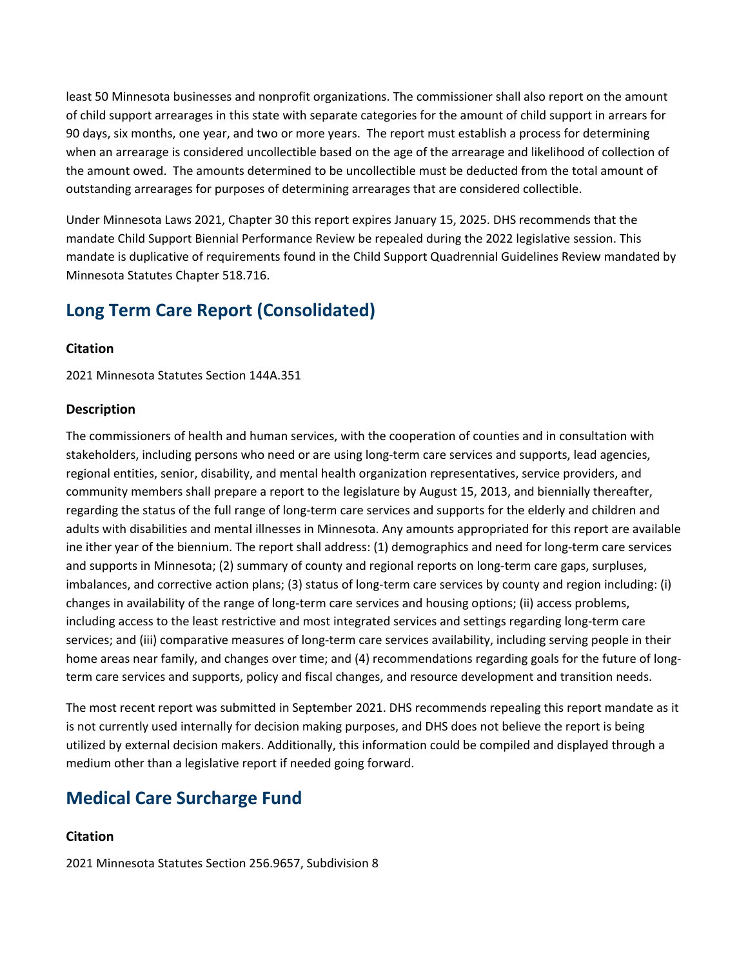least 50 Minnesota businesses and nonprofit organizations. The commissioner shall also report on the amount of child support arrearages in this state with separate categories for the amount of child support in arrears for 90 days, six months, one year, and two or more years. The report must establish a process for determining when an arrearage is considered uncollectible based on the age of the arrearage and likelihood of collection of the amount owed. The amounts determined to be uncollectible must be deducted from the total amount of outstanding arrearages for purposes of determining arrearages that are considered collectible.

Under Minnesota Laws 2021, Chapter 30 this report expires January 15, 2025. DHS recommends that the mandate Child Support Biennial Performance Review be repealed during the 2022 legislative session. This mandate is duplicative of requirements found in the Child Support Quadrennial Guidelines Review mandated by Minnesota Statutes Chapter 518.716.

### **Long Term Care Report (Consolidated)**

#### **Citation**

2021 Minnesota Statutes Section 144A.351

#### **Description**

The commissioners of health and human services, with the cooperation of counties and in consultation with stakeholders, including persons who need or are using long-term care services and supports, lead agencies, regional entities, senior, disability, and mental health organization representatives, service providers, and community members shall prepare a report to the legislature by August 15, 2013, and biennially thereafter, regarding the status of the full range of long-term care services and supports for the elderly and children and adults with disabilities and mental illnesses in Minnesota. Any amounts appropriated for this report are available ine ither year of the biennium. The report shall address: (1) demographics and need for long-term care services and supports in Minnesota; (2) summary of county and regional reports on long-term care gaps, surpluses, imbalances, and corrective action plans; (3) status of long-term care services by county and region including: (i) changes in availability of the range of long-term care services and housing options; (ii) access problems, including access to the least restrictive and most integrated services and settings regarding long-term care services; and (iii) comparative measures of long-term care services availability, including serving people in their home areas near family, and changes over time; and (4) recommendations regarding goals for the future of longterm care services and supports, policy and fiscal changes, and resource development and transition needs.

The most recent report was submitted in September 2021. DHS recommends repealing this report mandate as it is not currently used internally for decision making purposes, and DHS does not believe the report is being utilized by external decision makers. Additionally, this information could be compiled and displayed through a medium other than a legislative report if needed going forward.

### **Medical Care Surcharge Fund**

#### **Citation**

2021 Minnesota Statutes Section 256.9657, Subdivision 8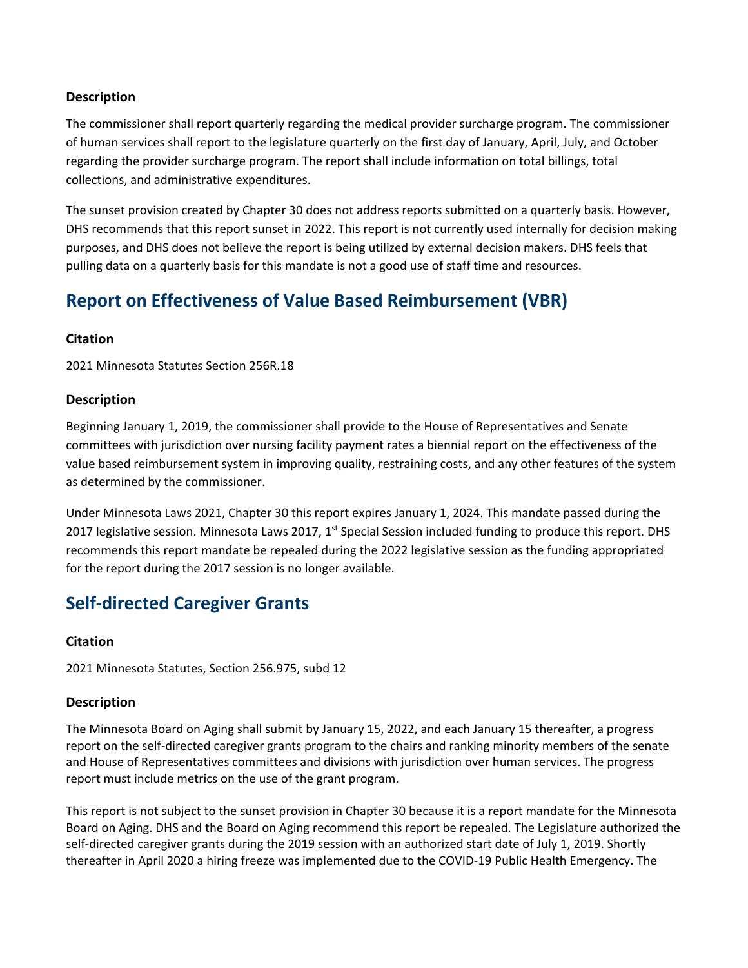#### **Description**

The commissioner shall report quarterly regarding the medical provider surcharge program. The commissioner of human services shall report to the legislature quarterly on the first day of January, April, July, and October regarding the provider surcharge program. The report shall include information on total billings, total collections, and administrative expenditures.

The sunset provision created by Chapter 30 does not address reports submitted on a quarterly basis. However, DHS recommends that this report sunset in 2022. This report is not currently used internally for decision making purposes, and DHS does not believe the report is being utilized by external decision makers. DHS feels that pulling data on a quarterly basis for this mandate is not a good use of staff time and resources.

### **Report on Effectiveness of Value Based Reimbursement (VBR)**

#### **Citation**

2021 Minnesota Statutes Section 256R.18

#### **Description**

Beginning January 1, 2019, the commissioner shall provide to the House of Representatives and Senate committees with jurisdiction over nursing facility payment rates a biennial report on the effectiveness of the value based reimbursement system in improving quality, restraining costs, and any other features of the system as determined by the commissioner.

Under Minnesota Laws 2021, Chapter 30 this report expires January 1, 2024. This mandate passed during the 2017 legislative session. Minnesota Laws 2017,  $1^{st}$  Special Session included funding to produce this report. DHS recommends this report mandate be repealed during the 2022 legislative session as the funding appropriated for the report during the 2017 session is no longer available.

## **Self-directed Caregiver Grants**

#### **Citation**

2021 Minnesota Statutes, Section 256.975, subd 12

#### **Description**

The Minnesota Board on Aging shall submit by January 15, 2022, and each January 15 thereafter, a progress report on the self-directed caregiver grants program to the chairs and ranking minority members of the senate and House of Representatives committees and divisions with jurisdiction over human services. The progress report must include metrics on the use of the grant program.

This report is not subject to the sunset provision in Chapter 30 because it is a report mandate for the Minnesota Board on Aging. DHS and the Board on Aging recommend this report be repealed. The Legislature authorized the self-directed caregiver grants during the 2019 session with an authorized start date of July 1, 2019. Shortly thereafter in April 2020 a hiring freeze was implemented due to the COVID-19 Public Health Emergency. The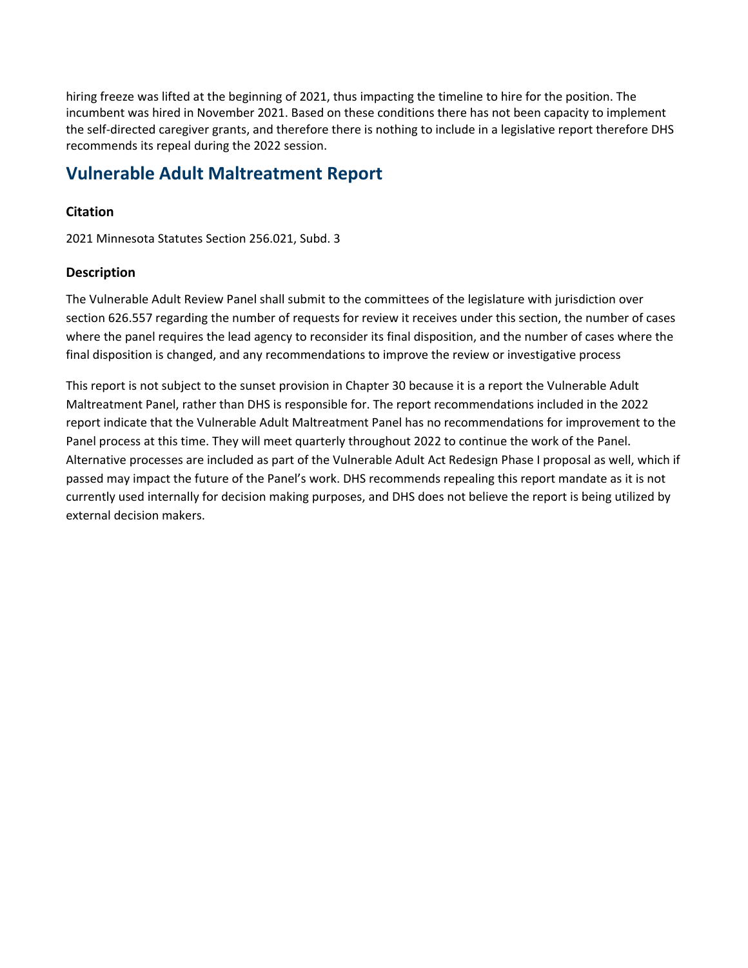hiring freeze was lifted at the beginning of 2021, thus impacting the timeline to hire for the position. The incumbent was hired in November 2021. Based on these conditions there has not been capacity to implement the self-directed caregiver grants, and therefore there is nothing to include in a legislative report therefore DHS recommends its repeal during the 2022 session.

### **Vulnerable Adult Maltreatment Report**

#### **Citation**

2021 Minnesota Statutes Section 256.021, Subd. 3

#### **Description**

The Vulnerable Adult Review Panel shall submit to the committees of the legislature with jurisdiction over section 626.557 regarding the number of requests for review it receives under this section, the number of cases where the panel requires the lead agency to reconsider its final disposition, and the number of cases where the final disposition is changed, and any recommendations to improve the review or investigative process

This report is not subject to the sunset provision in Chapter 30 because it is a report the Vulnerable Adult Maltreatment Panel, rather than DHS is responsible for. The report recommendations included in the 2022 report indicate that the Vulnerable Adult Maltreatment Panel has no recommendations for improvement to the Panel process at this time. They will meet quarterly throughout 2022 to continue the work of the Panel. Alternative processes are included as part of the Vulnerable Adult Act Redesign Phase I proposal as well, which if passed may impact the future of the Panel's work. DHS recommends repealing this report mandate as it is not currently used internally for decision making purposes, and DHS does not believe the report is being utilized by external decision makers.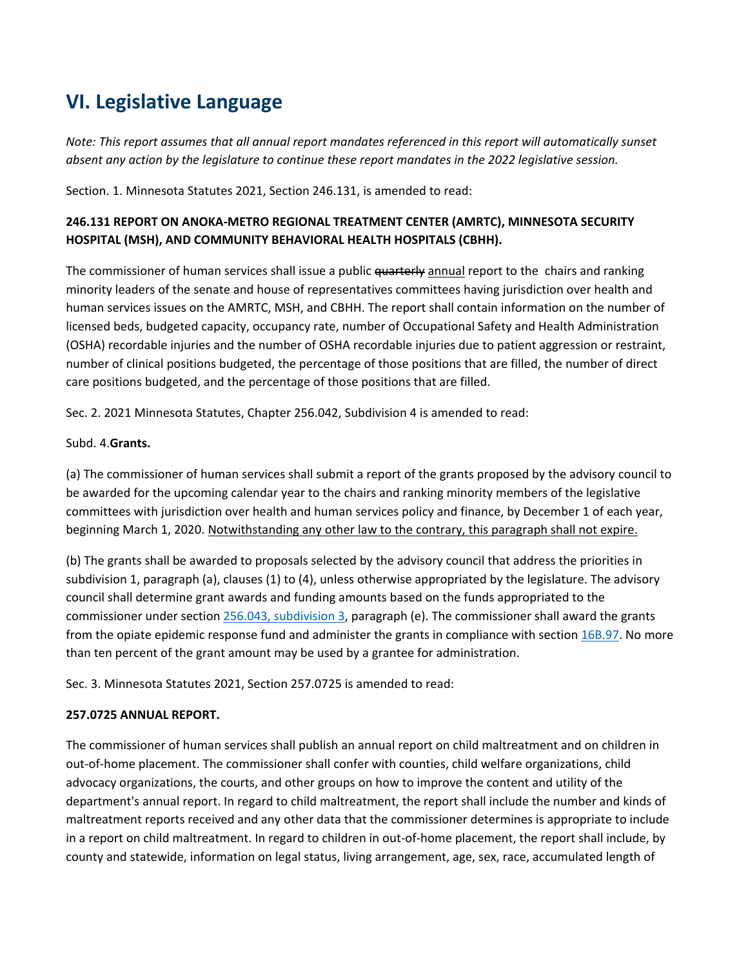# **VI. Legislative Language**

*Note: This report assumes that all annual report mandates referenced in this report will automatically sunset absent any action by the legislature to continue these report mandates in the 2022 legislative session.*

Section. 1. Minnesota Statutes 2021, Section 246.131, is amended to read:

#### **246.131 REPORT ON ANOKA-METRO REGIONAL TREATMENT CENTER (AMRTC), MINNESOTA SECURITY HOSPITAL (MSH), AND COMMUNITY BEHAVIORAL HEALTH HOSPITALS (CBHH).**

The commissioner of human services shall issue a public quarterly annual report to the chairs and ranking minority leaders of the senate and house of representatives committees having jurisdiction over health and human services issues on the AMRTC, MSH, and CBHH. The report shall contain information on the number of licensed beds, budgeted capacity, occupancy rate, number of Occupational Safety and Health Administration (OSHA) recordable injuries and the number of OSHA recordable injuries due to patient aggression or restraint, number of clinical positions budgeted, the percentage of those positions that are filled, the number of direct care positions budgeted, and the percentage of those positions that are filled.

Sec. 2. 2021 Minnesota Statutes, Chapter 256.042, Subdivision 4 is amended to read:

#### Subd. 4.**Grants.**

(a) The commissioner of human services shall submit a report of the grants proposed by the advisory council to be awarded for the upcoming calendar year to the chairs and ranking minority members of the legislative committees with jurisdiction over health and human services policy and finance, by December 1 of each year, beginning March 1, 2020. Notwithstanding any other law to the contrary, this paragraph shall not expire.

(b) The grants shall be awarded to proposals selected by the advisory council that address the priorities in subdivision 1, paragraph (a), clauses (1) to (4), unless otherwise appropriated by the legislature. The advisory council shall determine grant awards and funding amounts based on the funds appropriated to the commissioner under section [256.043, subdivision 3,](https://www.revisor.mn.gov/statutes/cite/256.043#stat.256.043.3) paragraph (e). The commissioner shall award the grants from the opiate epidemic response fund and administer the grants in compliance with section [16B.97.](https://www.revisor.mn.gov/statutes/cite/16B.97) No more than ten percent of the grant amount may be used by a grantee for administration.

Sec. 3. Minnesota Statutes 2021, Section 257.0725 is amended to read:

#### **257.0725 ANNUAL REPORT.**

The commissioner of human services shall publish an annual report on child maltreatment and on children in out-of-home placement. The commissioner shall confer with counties, child welfare organizations, child advocacy organizations, the courts, and other groups on how to improve the content and utility of the department's annual report. In regard to child maltreatment, the report shall include the number and kinds of maltreatment reports received and any other data that the commissioner determines is appropriate to include in a report on child maltreatment. In regard to children in out-of-home placement, the report shall include, by county and statewide, information on legal status, living arrangement, age, sex, race, accumulated length of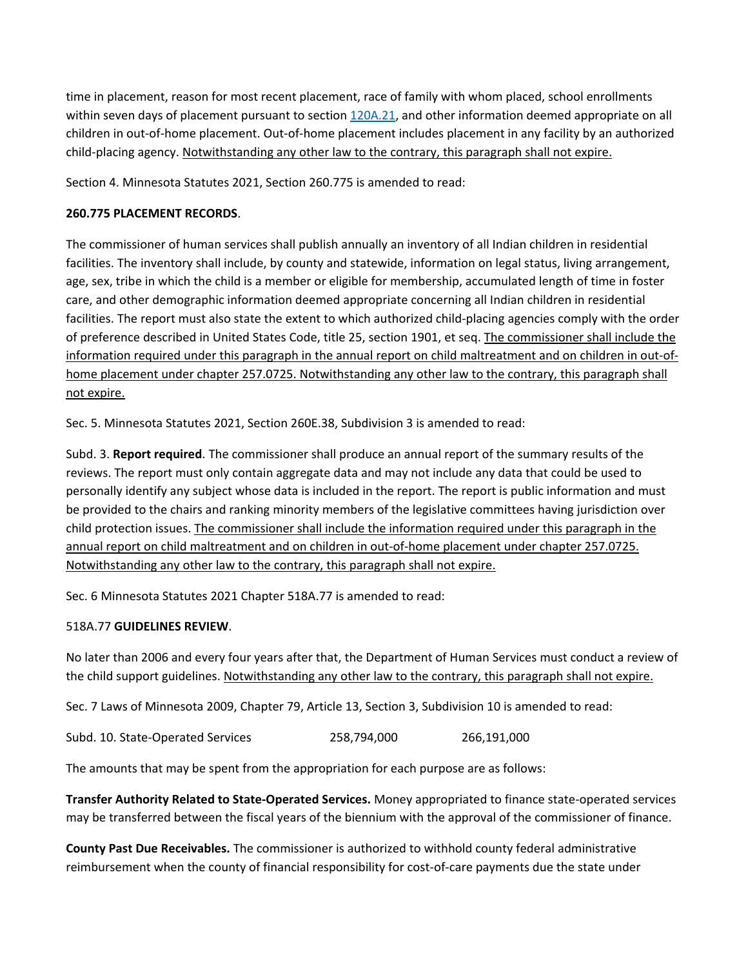time in placement, reason for most recent placement, race of family with whom placed, school enrollments within seven days of placement pursuant to section [120A.21,](https://www.revisor.mn.gov/statutes/cite/120A.21) and other information deemed appropriate on all children in out-of-home placement. Out-of-home placement includes placement in any facility by an authorized child-placing agency. Notwithstanding any other law to the contrary, this paragraph shall not expire.

Section 4. Minnesota Statutes 2021, Section 260.775 is amended to read:

#### **260.775 PLACEMENT RECORDS**.

The commissioner of human services shall publish annually an inventory of all Indian children in residential facilities. The inventory shall include, by county and statewide, information on legal status, living arrangement, age, sex, tribe in which the child is a member or eligible for membership, accumulated length of time in foster care, and other demographic information deemed appropriate concerning all Indian children in residential facilities. The report must also state the extent to which authorized child-placing agencies comply with the order of preference described in United States Code, title 25, section 1901, et seq. The commissioner shall include the information required under this paragraph in the annual report on child maltreatment and on children in out-ofhome placement under chapter 257.0725. Notwithstanding any other law to the contrary, this paragraph shall not expire.

Sec. 5. Minnesota Statutes 2021, Section 260E.38, Subdivision 3 is amended to read:

Subd. 3. **Report required**. The commissioner shall produce an annual report of the summary results of the reviews. The report must only contain aggregate data and may not include any data that could be used to personally identify any subject whose data is included in the report. The report is public information and must be provided to the chairs and ranking minority members of the legislative committees having jurisdiction over child protection issues. The commissioner shall include the information required under this paragraph in the annual report on child maltreatment and on children in out-of-home placement under chapter 257.0725. Notwithstanding any other law to the contrary, this paragraph shall not expire.

Sec. 6 Minnesota Statutes 2021 Chapter 518A.77 is amended to read:

#### 518A.77 **GUIDELINES REVIEW**.

No later than 2006 and every four years after that, the Department of Human Services must conduct a review of the child support guidelines. Notwithstanding any other law to the contrary, this paragraph shall not expire.

Sec. 7 Laws of Minnesota 2009, Chapter 79, Article 13, Section 3, Subdivision 10 is amended to read:

Subd. 10. State-Operated Services 258,794,000 266,191,000

The amounts that may be spent from the appropriation for each purpose are as follows:

**Transfer Authority Related to State-Operated Services.** Money appropriated to finance state-operated services may be transferred between the fiscal years of the biennium with the approval of the commissioner of finance.

**County Past Due Receivables.** The commissioner is authorized to withhold county federal administrative reimbursement when the county of financial responsibility for cost-of-care payments due the state under